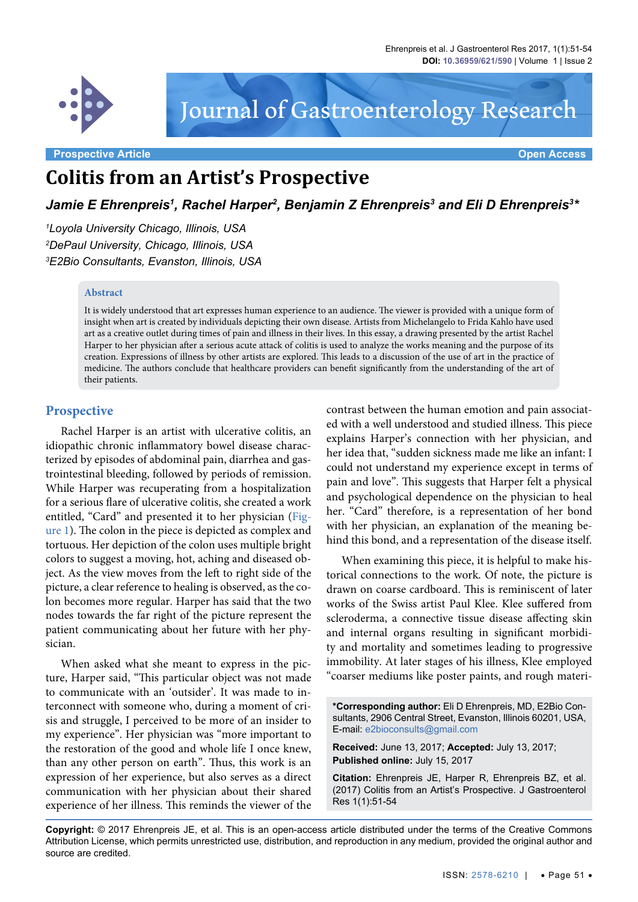

# Journal of Gastroenterology Research

**Prospective Article Open Access**

# **Colitis from an Artist's Prospective**

Jamie E Ehrenpreis<sup>1</sup>, Rachel Harper<sup>2</sup>, Benjamin Z Ehrenpreis<sup>3</sup> and Eli D Ehrenpreis<sup>3</sup>\*

*1 Loyola University Chicago, Illinois, USA 2 DePaul University, Chicago, Illinois, USA 3 E2Bio Consultants, Evanston, Illinois, USA*

#### **Abstract**

It is widely understood that art expresses human experience to an audience. The viewer is provided with a unique form of insight when art is created by individuals depicting their own disease. Artists from Michelangelo to Frida Kahlo have used art as a creative outlet during times of pain and illness in their lives. In this essay, a drawing presented by the artist Rachel Harper to her physician after a serious acute attack of colitis is used to analyze the works meaning and the purpose of its creation. Expressions of illness by other artists are explored. This leads to a discussion of the use of art in the practice of medicine. The authors conclude that healthcare providers can benefit significantly from the understanding of the art of their patients.

#### **Prospective**

Rachel Harper is an artist with ulcerative colitis, an idiopathic chronic inflammatory bowel disease characterized by episodes of abdominal pain, diarrhea and gastrointestinal bleeding, followed by periods of remission. While Harper was recuperating from a hospitalization for a serious flare of ulcerative colitis, she created a work entitled, "Card" and presented it to her physician ([Fig](#page-1-0)[ure 1\)](#page-1-0). The colon in the piece is depicted as complex and tortuous. Her depiction of the colon uses multiple bright colors to suggest a moving, hot, aching and diseased object. As the view moves from the left to right side of the picture, a clear reference to healing is observed, as the colon becomes more regular. Harper has said that the two nodes towards the far right of the picture represent the patient communicating about her future with her physician.

When asked what she meant to express in the picture, Harper said, "This particular object was not made to communicate with an 'outsider'. It was made to interconnect with someone who, during a moment of crisis and struggle, I perceived to be more of an insider to my experience". Her physician was "more important to the restoration of the good and whole life I once knew, than any other person on earth". Thus, this work is an expression of her experience, but also serves as a direct communication with her physician about their shared experience of her illness. This reminds the viewer of the

contrast between the human emotion and pain associated with a well understood and studied illness. This piece explains Harper's connection with her physician, and her idea that, "sudden sickness made me like an infant: I could not understand my experience except in terms of pain and love". This suggests that Harper felt a physical and psychological dependence on the physician to heal her. "Card" therefore, is a representation of her bond with her physician, an explanation of the meaning behind this bond, and a representation of the disease itself.

When examining this piece, it is helpful to make historical connections to the work. Of note, the picture is drawn on coarse cardboard. This is reminiscent of later works of the Swiss artist Paul Klee. Klee suffered from scleroderma, a connective tissue disease affecting skin and internal organs resulting in significant morbidity and mortality and sometimes leading to progressive immobility. At later stages of his illness, Klee employed "coarser mediums like poster paints, and rough materi-

**\*Corresponding author:** Eli D Ehrenpreis, MD, E2Bio Consultants, 2906 Central Street, Evanston, Illinois 60201, USA, E-mail: e2bioconsults@gmail.com

**Received:** June 13, 2017; **Accepted:** July 13, 2017; **Published online:** July 15, 2017

**Citation:** Ehrenpreis JE, Harper R, Ehrenpreis BZ, et al. (2017) Colitis from an Artist's Prospective. J Gastroenterol Res 1(1):51-54

**Copyright:** © 2017 Ehrenpreis JE, et al. This is an open-access article distributed under the terms of the Creative Commons Attribution License, which permits unrestricted use, distribution, and reproduction in any medium, provided the original author and source are credited.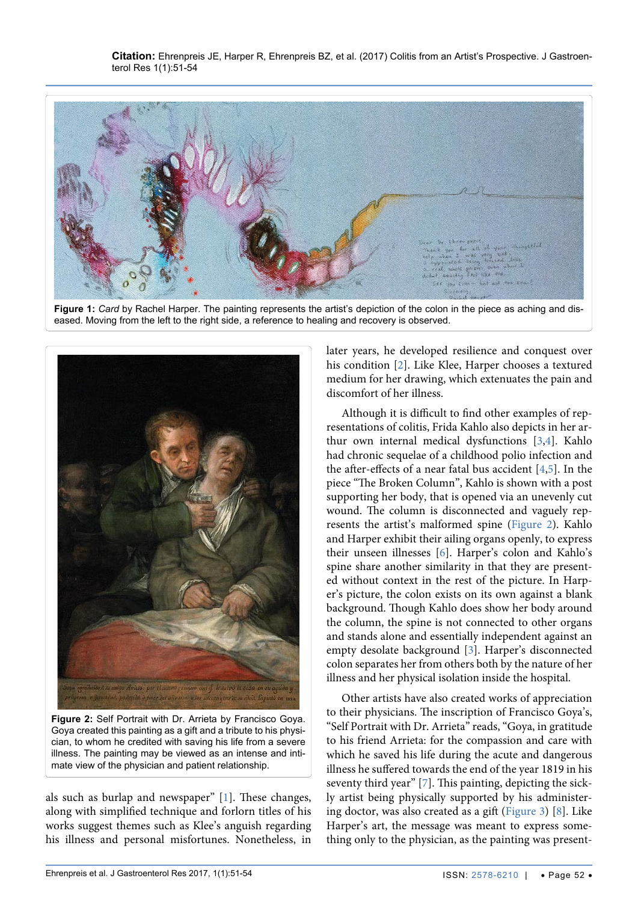<span id="page-1-0"></span>

**Figure 1:** *Card* by Rachel Harper. The painting represents the artist's depiction of the colon in the piece as aching and diseased. Moving from the left to the right side, a reference to healing and recovery is observed.

<span id="page-1-1"></span>

**Figure 2:** Self Portrait with Dr. Arrieta by Francisco Goya. Goya created this painting as a gift and a tribute to his physician, to whom he credited with saving his life from a severe illness. The painting may be viewed as an intense and intimate view of the physician and patient relationship.

als such as burlap and newspaper" [\[1](#page-3-0)]. These changes, along with simplified technique and forlorn titles of his works suggest themes such as Klee's anguish regarding his illness and personal misfortunes. Nonetheless, in later years, he developed resilience and conquest over his condition [\[2\]](#page-3-1). Like Klee, Harper chooses a textured medium for her drawing, which extenuates the pain and discomfort of her illness.

Although it is difficult to find other examples of representations of colitis, Frida Kahlo also depicts in her arthur own internal medical dysfunctions [\[3](#page-3-2)[,4](#page-3-3)]. Kahlo had chronic sequelae of a childhood polio infection and the after-effects of a near fatal bus accident [\[4](#page-3-3)[,5\]](#page-3-4). In the piece "The Broken Column", Kahlo is shown with a post supporting her body, that is opened via an unevenly cut wound. The column is disconnected and vaguely represents the artist's malformed spine [\(Figure 2](#page-1-1)). Kahlo and Harper exhibit their ailing organs openly, to express their unseen illnesses [\[6\]](#page-3-5). Harper's colon and Kahlo's spine share another similarity in that they are presented without context in the rest of the picture. In Harper's picture, the colon exists on its own against a blank background. Though Kahlo does show her body around the column, the spine is not connected to other organs and stands alone and essentially independent against an empty desolate background [[3](#page-3-2)]. Harper's disconnected colon separates her from others both by the nature of her illness and her physical isolation inside the hospital.

Other artists have also created works of appreciation to their physicians. The inscription of Francisco Goya's, "Self Portrait with Dr. Arrieta" reads, "Goya, in gratitude to his friend Arrieta: for the compassion and care with which he saved his life during the acute and dangerous illness he suffered towards the end of the year 1819 in his seventy third year" [\[7](#page-3-6)]. This painting, depicting the sickly artist being physically supported by his administering doctor, was also created as a gift ([Figure 3\)](#page-2-0) [\[8](#page-3-7)]. Like Harper's art, the message was meant to express something only to the physician, as the painting was present-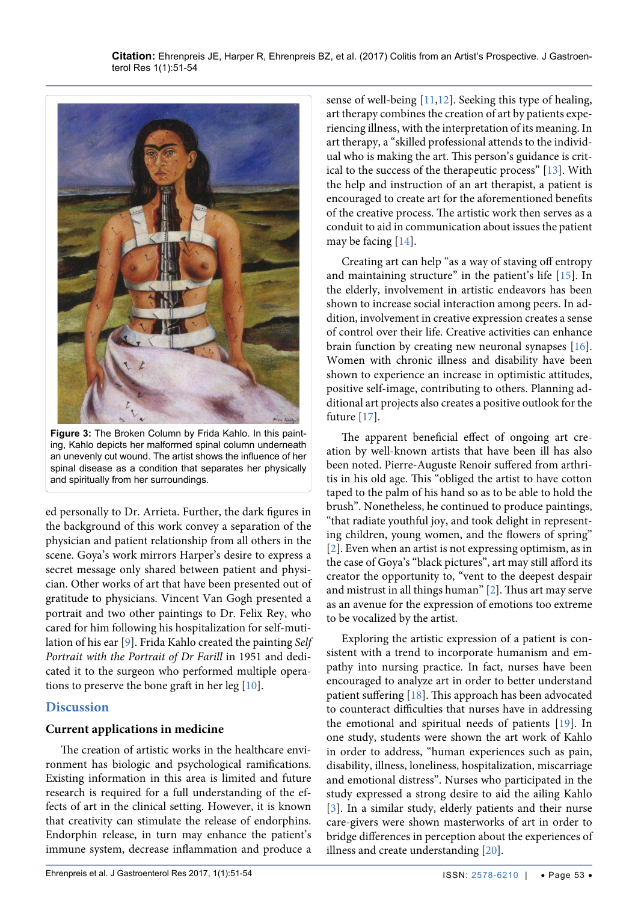<span id="page-2-0"></span>

**Figure 3:** The Broken Column by Frida Kahlo. In this painting, Kahlo depicts her malformed spinal column underneath an unevenly cut wound. The artist shows the influence of her spinal disease as a condition that separates her physically and spiritually from her surroundings.

ed personally to Dr. Arrieta. Further, the dark figures in the background of this work convey a separation of the physician and patient relationship from all others in the scene. Goya's work mirrors Harper's desire to express a secret message only shared between patient and physician. Other works of art that have been presented out of gratitude to physicians. Vincent Van Gogh presented a portrait and two other paintings to Dr. Felix Rey, who cared for him following his hospitalization for self-mutilation of his ear [[9\]](#page-3-18). Frida Kahlo created the painting *Self Portrait with the Portrait of Dr Farill* in 1951 and dedicated it to the surgeon who performed multiple operations to preserve the bone graft in her leg [\[10\]](#page-3-19).

## **Discussion**

## **Current applications in medicine**

The creation of artistic works in the healthcare environment has biologic and psychological ramifications. Existing information in this area is limited and future research is required for a full understanding of the effects of art in the clinical setting. However, it is known that creativity can stimulate the release of endorphins. Endorphin release, in turn may enhance the patient's immune system, decrease inflammation and produce a sense of well-being [[11](#page-3-8),[12](#page-3-9)]. Seeking this type of healing, art therapy combines the creation of art by patients experiencing illness, with the interpretation of its meaning. In art therapy, a "skilled professional attends to the individual who is making the art. This person's guidance is critical to the success of the therapeutic process" [\[13\]](#page-3-10). With the help and instruction of an art therapist, a patient is encouraged to create art for the aforementioned benefits of the creative process. The artistic work then serves as a conduit to aid in communication about issues the patient may be facing [\[14\]](#page-3-11).

Creating art can help "as a way of staving off entropy and maintaining structure" in the patient's life [[15](#page-3-12)]. In the elderly, involvement in artistic endeavors has been shown to increase social interaction among peers. In addition, involvement in creative expression creates a sense of control over their life. Creative activities can enhance brain function by creating new neuronal synapses [[16](#page-3-13)]. Women with chronic illness and disability have been shown to experience an increase in optimistic attitudes, positive self-image, contributing to others. Planning additional art projects also creates a positive outlook for the future [\[17\]](#page-3-14).

The apparent beneficial effect of ongoing art creation by well-known artists that have been ill has also been noted. Pierre-Auguste Renoir suffered from arthritis in his old age. This "obliged the artist to have cotton taped to the palm of his hand so as to be able to hold the brush". Nonetheless, he continued to produce paintings, "that radiate youthful joy, and took delight in representing children, young women, and the flowers of spring" [[2\]](#page-3-1). Even when an artist is not expressing optimism, as in the case of Goya's "black pictures", art may still afford its creator the opportunity to, "vent to the deepest despair and mistrust in all things human" [\[2\]](#page-3-1). Thus art may serve as an avenue for the expression of emotions too extreme to be vocalized by the artist.

Exploring the artistic expression of a patient is consistent with a trend to incorporate humanism and empathy into nursing practice. In fact, nurses have been encouraged to analyze art in order to better understand patient suffering [\[18\]](#page-3-15). This approach has been advocated to counteract difficulties that nurses have in addressing the emotional and spiritual needs of patients [[19](#page-3-16)]. In one study, students were shown the art work of Kahlo in order to address, "human experiences such as pain, disability, illness, loneliness, hospitalization, miscarriage and emotional distress". Nurses who participated in the study expressed a strong desire to aid the ailing Kahlo [[3\]](#page-3-2). In a similar study, elderly patients and their nurse care-givers were shown masterworks of art in order to bridge differences in perception about the experiences of illness and create understanding [\[20\]](#page-3-17).